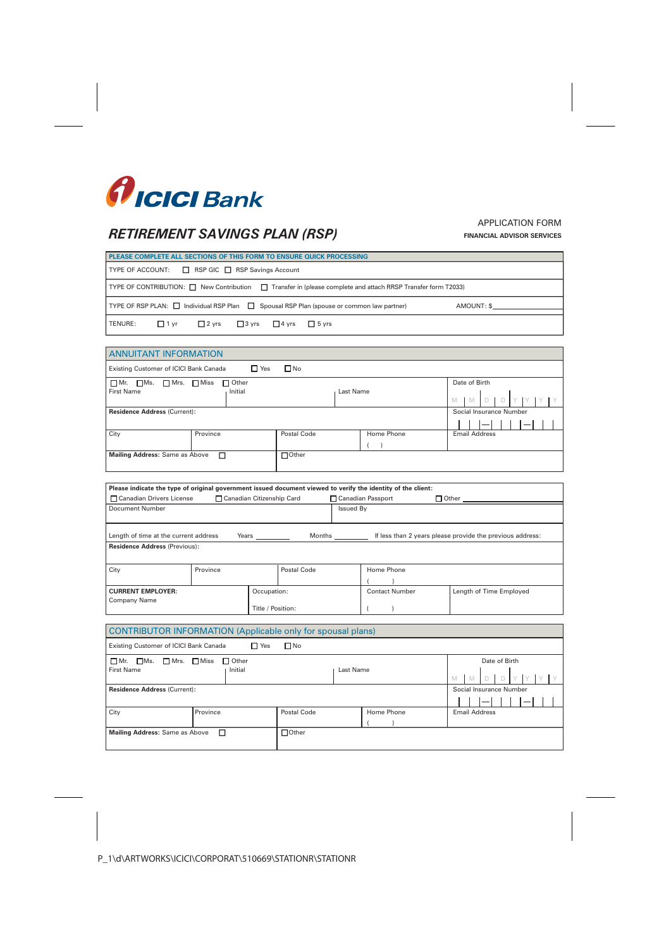

# *RETIREMENT SAVINGS PLAN (RSP)*

## APPLICATION FORM **FINANCIAL ADVISOR SERVICES**

| PLEASE COMPLETE ALL SECTIONS OF THIS FORM TO ENSURE QUICK PROCESSING                                                   |  |  |  |  |  |  |  |
|------------------------------------------------------------------------------------------------------------------------|--|--|--|--|--|--|--|
| <b>TYPE OF ACCOUNT:</b> $\Box$ RSP GIC $\Box$ RSP Savings Account                                                      |  |  |  |  |  |  |  |
| TYPE OF CONTRIBUTION: $\Box$ New Contribution $\Box$ Transfer in (please complete and attach RRSP Transfer form T2033) |  |  |  |  |  |  |  |
| TYPE OF RSP PLAN: $\Box$ Individual RSP Plan $\Box$ Spousal RSP Plan (spouse or common law partner)<br>AMOUNT: \$      |  |  |  |  |  |  |  |
| $\Box$ 1 yr $\Box$ 2 yrs $\Box$ 3 yrs $\Box$ 4 yrs $\Box$ 5 yrs<br>l TENURE:                                           |  |  |  |  |  |  |  |

| <b>ANNUITANT INFORMATION</b>                                                                                                                           |          |  |             |  |            |  |                         |  |  |  |  |
|--------------------------------------------------------------------------------------------------------------------------------------------------------|----------|--|-------------|--|------------|--|-------------------------|--|--|--|--|
| $\square$ No<br>$\Box$ Yes<br>Existing Customer of ICICI Bank Canada                                                                                   |          |  |             |  |            |  |                         |  |  |  |  |
| $\square$ Mr.<br>$\Box$ Ms. $\Box$ Mrs. $\Box$ Miss<br>Date of Birth<br>$\Box$ Other<br><b>First Name</b><br>Initial<br>Last Name<br>M<br>$\mathbb{M}$ |          |  |             |  |            |  |                         |  |  |  |  |
| <b>Residence Address (Current):</b>                                                                                                                    |          |  |             |  |            |  | Social Insurance Number |  |  |  |  |
| City                                                                                                                                                   | Province |  | Postal Code |  | Home Phone |  | <b>Email Address</b>    |  |  |  |  |
| $\Box$ Other<br><b>Mailing Address: Same as Above</b><br>П                                                                                             |          |  |             |  |            |  |                         |  |  |  |  |

| Please indicate the type of original government issued document viewed to verify the identity of the client:                        |             |             |  |                       |                         |  |  |
|-------------------------------------------------------------------------------------------------------------------------------------|-------------|-------------|--|-----------------------|-------------------------|--|--|
| □ Canadian Drivers License<br>□ Canadian Citizenship Card<br>□ Canadian Passport<br>$\Box$ Other $\Box$                             |             |             |  |                       |                         |  |  |
| Document Number                                                                                                                     |             |             |  | Issued By             |                         |  |  |
|                                                                                                                                     |             |             |  |                       |                         |  |  |
| If less than 2 years please provide the previous address:<br>Length of time at the current address<br>Years _______<br>Months _____ |             |             |  |                       |                         |  |  |
| <b>Residence Address (Previous):</b>                                                                                                |             |             |  |                       |                         |  |  |
|                                                                                                                                     |             |             |  |                       |                         |  |  |
| Province<br>City                                                                                                                    |             | Postal Code |  | Home Phone            |                         |  |  |
|                                                                                                                                     |             |             |  |                       |                         |  |  |
| <b>CURRENT EMPLOYER:</b>                                                                                                            | Occupation: |             |  | <b>Contact Number</b> | Length of Time Employed |  |  |
| Company Name<br>Title / Position:                                                                                                   |             |             |  |                       |                         |  |  |

| <b>CONTRIBUTOR INFORMATION (Applicable only for spousal plans)</b>                |            |              |            |                         |  |  |  |
|-----------------------------------------------------------------------------------|------------|--------------|------------|-------------------------|--|--|--|
| Existing Customer of ICICI Bank Canada                                            | $\Box$ Yes | $\square$ No |            |                         |  |  |  |
| $\Box$ Other<br>$\Box$ Mr. $\Box$ Ms.<br>$\Box$ Mrs. $\Box$ Miss<br>Date of Birth |            |              |            |                         |  |  |  |
| <b>First Name</b>                                                                 | Initial    |              | Last Name  |                         |  |  |  |
|                                                                                   |            |              |            | M<br>M                  |  |  |  |
| <b>Residence Address (Current):</b>                                               |            |              |            | Social Insurance Number |  |  |  |
|                                                                                   |            |              |            |                         |  |  |  |
| City                                                                              | Province   | Postal Code  | Home Phone | <b>Email Address</b>    |  |  |  |
|                                                                                   |            |              |            |                         |  |  |  |
| $\Box$ Other<br><b>Mailing Address: Same as Above</b><br>$\Box$                   |            |              |            |                         |  |  |  |
|                                                                                   |            |              |            |                         |  |  |  |